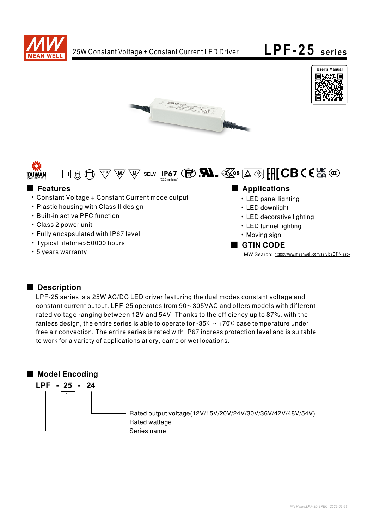









- Constant Voltage + Constant Current mode output
- Plastic housing with Class II design
- Built-in active PFC function
- Class 2 power unit
- Fully encapsulated with IP67 level
- Typical lifetime>50000 hours
- 5 years warranty

■ Features ■ Particular and Particular and Particular and Particular and Particular and Particular and Particular and Particular and Particular and Particular and Particular and Particular and Particular and Particular an

- LED panel lighting
- LED downlight
- LED decorative lighting
- LED tunnel lighting
- Moving sign

#### ■ GTIN CODE

MW Search: https://www.meanwell.com/serviceGTIN.aspx

## Description

LPF-25 series is a 25W AC/DC LED driver featuring the dual modes constant voltage and constant current output. LPF-25 operates from  $90~305$ VAC and offers models with different rated voltage ranging between 12V and 54V. Thanks to the efficiency up to 87%, with the fanless design, the entire series is able to operate for -35°C  $\sim$  +70°C case temperature under free air convection. The entire series is rated with IP67 ingress protection level and is suitable to work for a variety of applications at dry, damp or wet locations.

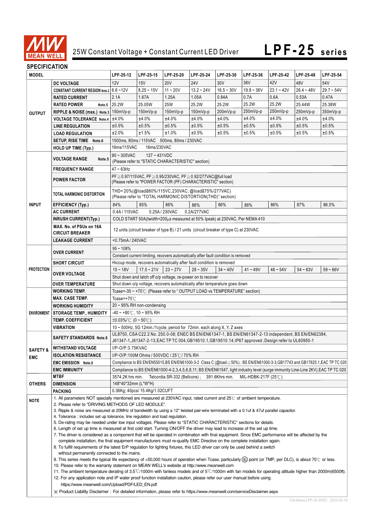

# **LPF-25** series

## **SPECIFICATION**

| יוטו וערו וועב וט   |                                                                                                                                                                                                                                                                                                                                                                                                                                           |                                                                                                                                                                                                                                                                                     |                                                                                  |            |                                                                      |              |              |              |              |              |  |
|---------------------|-------------------------------------------------------------------------------------------------------------------------------------------------------------------------------------------------------------------------------------------------------------------------------------------------------------------------------------------------------------------------------------------------------------------------------------------|-------------------------------------------------------------------------------------------------------------------------------------------------------------------------------------------------------------------------------------------------------------------------------------|----------------------------------------------------------------------------------|------------|----------------------------------------------------------------------|--------------|--------------|--------------|--------------|--------------|--|
| <b>MODEL</b>        |                                                                                                                                                                                                                                                                                                                                                                                                                                           | LPF-25-12                                                                                                                                                                                                                                                                           | LPF-25-15                                                                        | LPF-25-20  | LPF-25-24                                                            | LPF-25-30    | LPF-25-36    | LPF-25-42    | LPF-25-48    | LPF-25-54    |  |
| <b>OUTPUT</b>       | <b>DC VOLTAGE</b>                                                                                                                                                                                                                                                                                                                                                                                                                         | 12V                                                                                                                                                                                                                                                                                 | 15V                                                                              | <b>20V</b> | 24V                                                                  | 30V          | 36V          | 42V          | 48V          | 54V          |  |
|                     | CONSTANT CURRENT REGION Note.2 6.6~12V                                                                                                                                                                                                                                                                                                                                                                                                    |                                                                                                                                                                                                                                                                                     | $8.25 - 15V$                                                                     | $11 - 20V$ | $13.2 - 24V$                                                         | $16.5 - 30V$ | $19.8 - 36V$ | $23.1 - 42V$ | $26.4 - 48V$ | $29.7 - 54V$ |  |
|                     | <b>RATED CURRENT</b>                                                                                                                                                                                                                                                                                                                                                                                                                      | 2.1A                                                                                                                                                                                                                                                                                | 1.67A                                                                            | 1.25A      | 1.05A                                                                | 0.84A        | 0.7A         | 0.6A         | 0.53A        | 0.47A        |  |
|                     | <b>RATED POWER</b><br>Note.5                                                                                                                                                                                                                                                                                                                                                                                                              | 25.2W                                                                                                                                                                                                                                                                               | 25.05W                                                                           | <b>25W</b> | 25.2W                                                                | 25.2W        | 25.2W        | 25.2W        | 25.44W       | 25.38W       |  |
|                     | RIPPLE & NOISE (max.) Note.3 150mVp-p                                                                                                                                                                                                                                                                                                                                                                                                     |                                                                                                                                                                                                                                                                                     | 150mVp-p                                                                         | $150mVp-p$ | 150mVp-p                                                             | 200mVp-p     | 250mVp-p     | 250mVp-p     | 250mVp-p     | 350mVp-p     |  |
|                     | <b>VOLTAGE TOLERANCE Note.4</b>                                                                                                                                                                                                                                                                                                                                                                                                           | ±4.0%                                                                                                                                                                                                                                                                               | ±4.0%                                                                            | ±4.0%      | ±4.0%                                                                | ±4.0%        | ±4.0%        | ±4.0%        | ±4.0%        | ±4.0%        |  |
|                     | <b>LINE REGULATION</b>                                                                                                                                                                                                                                                                                                                                                                                                                    | ±0.5%                                                                                                                                                                                                                                                                               | ±0.5%                                                                            | ±0.5%      | ±0.5%                                                                | ±0.5%        | ±0.5%        | ±0.5%        | ±0.5%        | ±0.5%        |  |
|                     | <b>LOAD REGULATION</b>                                                                                                                                                                                                                                                                                                                                                                                                                    | ±2.0%                                                                                                                                                                                                                                                                               | ±1.5%                                                                            | ±1.0%      | ±0.5%                                                                | ±0.5%        | ±0.5%        | ±0.5%        | ±0.5%        | ±0.5%        |  |
|                     | SETUP, RISE TIME Note.6                                                                                                                                                                                                                                                                                                                                                                                                                   | 1500ms, 80ms / 115VAC 500ms, 80ms / 230VAC                                                                                                                                                                                                                                          |                                                                                  |            |                                                                      |              |              |              |              |              |  |
|                     | <b>HOLD UP TIME (Typ.)</b>                                                                                                                                                                                                                                                                                                                                                                                                                |                                                                                                                                                                                                                                                                                     |                                                                                  |            |                                                                      |              |              |              |              |              |  |
|                     | 16ms/115VAC<br>16ms/230VAC<br>$90 \sim 305$ VAC<br>$127 - 431VDC$                                                                                                                                                                                                                                                                                                                                                                         |                                                                                                                                                                                                                                                                                     |                                                                                  |            |                                                                      |              |              |              |              |              |  |
|                     | <b>VOLTAGE RANGE</b><br>Note.5                                                                                                                                                                                                                                                                                                                                                                                                            | (Please refer to "STATIC CHARACTERISTIC" section)                                                                                                                                                                                                                                   |                                                                                  |            |                                                                      |              |              |              |              |              |  |
|                     | <b>FREQUENCY RANGE</b>                                                                                                                                                                                                                                                                                                                                                                                                                    | $47 \sim 63$ Hz                                                                                                                                                                                                                                                                     |                                                                                  |            |                                                                      |              |              |              |              |              |  |
|                     |                                                                                                                                                                                                                                                                                                                                                                                                                                           |                                                                                                                                                                                                                                                                                     |                                                                                  |            |                                                                      |              |              |              |              |              |  |
|                     | <b>POWER FACTOR</b>                                                                                                                                                                                                                                                                                                                                                                                                                       | PF ≥ 0.97/115VAC, PF ≥ 0.95/230VAC, PF ≥ 0.92/277VAC@full load<br>(Please refer to "POWER FACTOR (PF) CHARACTERISTIC" section)                                                                                                                                                      |                                                                                  |            |                                                                      |              |              |              |              |              |  |
|                     |                                                                                                                                                                                                                                                                                                                                                                                                                                           |                                                                                                                                                                                                                                                                                     |                                                                                  |            |                                                                      |              |              |              |              |              |  |
| <b>INPUT</b>        | TOTAL HARMONIC DISTORTION                                                                                                                                                                                                                                                                                                                                                                                                                 | THD<20%(@load≧60%/115VC,230VAC;@load≧75%/277VAC)<br>(Please refer to "TOTAL HARMONIC DISTORTION(THD)" section)                                                                                                                                                                      |                                                                                  |            |                                                                      |              |              |              |              |              |  |
|                     |                                                                                                                                                                                                                                                                                                                                                                                                                                           | 84%                                                                                                                                                                                                                                                                                 | 85%                                                                              | 86%        |                                                                      | 86%          | 86%          | 86%          | 87%          |              |  |
|                     | <b>EFFICIENCY (Typ.)</b>                                                                                                                                                                                                                                                                                                                                                                                                                  |                                                                                                                                                                                                                                                                                     |                                                                                  |            | 86%                                                                  |              |              |              |              | 86.5%        |  |
|                     | <b>AC CURRENT</b>                                                                                                                                                                                                                                                                                                                                                                                                                         | 0.4A/115VAC<br>0.25A / 230VAC<br>0.2A/277VAC                                                                                                                                                                                                                                        |                                                                                  |            |                                                                      |              |              |              |              |              |  |
|                     | <b>INRUSH CURRENT(Typ.)</b>                                                                                                                                                                                                                                                                                                                                                                                                               |                                                                                                                                                                                                                                                                                     | COLD START 50A(twidth=200 $\mu$ s measured at 50% Ipeak) at 230VAC; Per NEMA 410 |            |                                                                      |              |              |              |              |              |  |
|                     | MAX. No. of PSUs on 16A                                                                                                                                                                                                                                                                                                                                                                                                                   | 12 units (circuit breaker of type B) / 21 units (circuit breaker of type C) at 230VAC                                                                                                                                                                                               |                                                                                  |            |                                                                      |              |              |              |              |              |  |
|                     | <b>CIRCUIT BREAKER</b>                                                                                                                                                                                                                                                                                                                                                                                                                    |                                                                                                                                                                                                                                                                                     |                                                                                  |            |                                                                      |              |              |              |              |              |  |
|                     | <b>LEAKAGE CURRENT</b>                                                                                                                                                                                                                                                                                                                                                                                                                    | <0.75mA / 240VAC                                                                                                                                                                                                                                                                    |                                                                                  |            |                                                                      |              |              |              |              |              |  |
| <b>PROTECTION</b>   | <b>OVER CURRENT</b>                                                                                                                                                                                                                                                                                                                                                                                                                       | $95 - 108%$                                                                                                                                                                                                                                                                         |                                                                                  |            |                                                                      |              |              |              |              |              |  |
|                     |                                                                                                                                                                                                                                                                                                                                                                                                                                           | Constant current limiting, recovers automatically after fault condition is removed                                                                                                                                                                                                  |                                                                                  |            |                                                                      |              |              |              |              |              |  |
|                     | <b>SHORT CIRCUIT</b>                                                                                                                                                                                                                                                                                                                                                                                                                      |                                                                                                                                                                                                                                                                                     |                                                                                  |            | Hiccup mode, recovers automatically after fault condition is removed |              |              |              |              |              |  |
|                     | <b>OVER VOLTAGE</b>                                                                                                                                                                                                                                                                                                                                                                                                                       | $15 - 18V$                                                                                                                                                                                                                                                                          | $17.5 - 21V$                                                                     | $23 - 27V$ | $28 - 35V$                                                           | $34 - 40V$   | $41 - 49V$   | $46 - 54V$   | $54 - 63V$   | $59 - 66V$   |  |
|                     |                                                                                                                                                                                                                                                                                                                                                                                                                                           |                                                                                                                                                                                                                                                                                     |                                                                                  |            | Shut down and latch off o/p voltage, re-power on to recover          |              |              |              |              |              |  |
|                     | <b>OVER TEMPERATURE</b>                                                                                                                                                                                                                                                                                                                                                                                                                   | Shut down o/p voltage, recovers automatically after temperature goes down                                                                                                                                                                                                           |                                                                                  |            |                                                                      |              |              |              |              |              |  |
|                     | <b>WORKING TEMP.</b>                                                                                                                                                                                                                                                                                                                                                                                                                      | Tcase=-35 ~ +70°C (Please refer to " OUTPUT LOAD vs TEMPERATURE" section)                                                                                                                                                                                                           |                                                                                  |            |                                                                      |              |              |              |              |              |  |
|                     | <b>MAX. CASE TEMP.</b>                                                                                                                                                                                                                                                                                                                                                                                                                    | Tcase=+70℃                                                                                                                                                                                                                                                                          |                                                                                  |            |                                                                      |              |              |              |              |              |  |
|                     | <b>WORKING HUMIDITY</b>                                                                                                                                                                                                                                                                                                                                                                                                                   | $20 \sim 95\%$ RH non-condensing                                                                                                                                                                                                                                                    |                                                                                  |            |                                                                      |              |              |              |              |              |  |
| <b>ENVIRONMENT</b>  | <b>STORAGE TEMP., HUMIDITY</b>                                                                                                                                                                                                                                                                                                                                                                                                            | $-40 \sim +80^{\circ}$ C, 10 ~ 95% RH                                                                                                                                                                                                                                               |                                                                                  |            |                                                                      |              |              |              |              |              |  |
|                     | <b>TEMP. COEFFICIENT</b>                                                                                                                                                                                                                                                                                                                                                                                                                  | $\pm 0.03\%$ (°C (0 ~ 50°C)                                                                                                                                                                                                                                                         |                                                                                  |            |                                                                      |              |              |              |              |              |  |
|                     | VIBRATION                                                                                                                                                                                                                                                                                                                                                                                                                                 | 10 ~ 500Hz, 5G 12min./1cycle, period for 72min. each along X, Y, Z axes                                                                                                                                                                                                             |                                                                                  |            |                                                                      |              |              |              |              |              |  |
|                     |                                                                                                                                                                                                                                                                                                                                                                                                                                           | UL8750, CSA C22.2 No. 250.0-08; ENEC BS EN/EN61347-1, BS EN/EN61347-2-13 independent, BS EN/EN62384,<br><b>SAFETY STANDARDS Note.8</b><br>J61347-1,J61347-2-13,EAC TP TC 004,GB19510.1,GB19510.14,IP67 approved ;Design refer to UL60950-1                                          |                                                                                  |            |                                                                      |              |              |              |              |              |  |
|                     |                                                                                                                                                                                                                                                                                                                                                                                                                                           |                                                                                                                                                                                                                                                                                     |                                                                                  |            |                                                                      |              |              |              |              |              |  |
| <b>SAFETY &amp;</b> | <b>WITHSTAND VOLTAGE</b>                                                                                                                                                                                                                                                                                                                                                                                                                  | I/P-O/P:3.75KVAC                                                                                                                                                                                                                                                                    |                                                                                  |            |                                                                      |              |              |              |              |              |  |
| <b>EMC</b>          | <b>ISOLATION RESISTANCE</b>                                                                                                                                                                                                                                                                                                                                                                                                               | I/P-O/P:100M Ohms / 500VDC / 25℃/ 70% RH                                                                                                                                                                                                                                            |                                                                                  |            |                                                                      |              |              |              |              |              |  |
|                     | <b>EMC EMISSION Note.8</b>                                                                                                                                                                                                                                                                                                                                                                                                                | Compliance to BS EN/EN55015,BS EN/EN61000-3-2 Class C (@load≧50%) ; BS EN/EN61000-3-3,GB17743 and GB17625.1,EAC TP TC 020                                                                                                                                                           |                                                                                  |            |                                                                      |              |              |              |              |              |  |
|                     | <b>EMC IMMUNITY</b>                                                                                                                                                                                                                                                                                                                                                                                                                       | Compliance to BS EN/EN61000-4-2,3,4,5,6,8,11; BS EN/EN61547, light industry level (surge immunity Line-Line 2KV), EAC TP TC 020                                                                                                                                                     |                                                                                  |            |                                                                      |              |              |              |              |              |  |
|                     | <b>MTBF</b>                                                                                                                                                                                                                                                                                                                                                                                                                               | 3574.2K hrs min.<br>Telcordia SR-332 (Bellcore); 391.6Khrs min.<br>MIL-HDBK-217F (25 $\degree$ C)                                                                                                                                                                                   |                                                                                  |            |                                                                      |              |              |              |              |              |  |
| <b>OTHERS</b>       | <b>DIMENSION</b>                                                                                                                                                                                                                                                                                                                                                                                                                          | 148*40*32mm (L*W*H)                                                                                                                                                                                                                                                                 |                                                                                  |            |                                                                      |              |              |              |              |              |  |
|                     | <b>PACKING</b>                                                                                                                                                                                                                                                                                                                                                                                                                            |                                                                                                                                                                                                                                                                                     | 0.36Kg; 40pcs/ 15.4Kg/1.02CUFT                                                   |            |                                                                      |              |              |              |              |              |  |
| <b>NOTE</b>         | 1. All parameters NOT specially mentioned are measured at 230VAC input, rated current and 25°C of ambient temperature.                                                                                                                                                                                                                                                                                                                    |                                                                                                                                                                                                                                                                                     |                                                                                  |            |                                                                      |              |              |              |              |              |  |
|                     | 2. Please refer to "DRIVING METHODS OF LED MODULE".                                                                                                                                                                                                                                                                                                                                                                                       |                                                                                                                                                                                                                                                                                     |                                                                                  |            |                                                                      |              |              |              |              |              |  |
|                     | 3. Ripple & noise are measured at 20MHz of bandwidth by using a 12" twisted pair-wire terminated with a 0.1uf & 47uf parallel capacitor.                                                                                                                                                                                                                                                                                                  |                                                                                                                                                                                                                                                                                     |                                                                                  |            |                                                                      |              |              |              |              |              |  |
|                     | 4. Tolerance: includes set up tolerance, line regulation and load regulation.                                                                                                                                                                                                                                                                                                                                                             |                                                                                                                                                                                                                                                                                     |                                                                                  |            |                                                                      |              |              |              |              |              |  |
|                     |                                                                                                                                                                                                                                                                                                                                                                                                                                           | 5. De-rating may be needed under low input voltages. Please refer to "STATIC CHARACTERISTIC" sections for details.                                                                                                                                                                  |                                                                                  |            |                                                                      |              |              |              |              |              |  |
|                     |                                                                                                                                                                                                                                                                                                                                                                                                                                           | 6. Length of set up time is measured at first cold start. Turning ON/OFF the driver may lead to increase of the set up time.<br>7. The driver is considered as a component that will be operated in combination with final equipment. Since EMC performance will be affected by the |                                                                                  |            |                                                                      |              |              |              |              |              |  |
|                     |                                                                                                                                                                                                                                                                                                                                                                                                                                           | complete installation, the final equipment manufacturers must re-qualify EMC Directive on the complete installation again.                                                                                                                                                          |                                                                                  |            |                                                                      |              |              |              |              |              |  |
|                     |                                                                                                                                                                                                                                                                                                                                                                                                                                           | 8. To fulfill requirements of the latest ErP regulation for lighting fixtures, this LED driver can only be used behind a switch                                                                                                                                                     |                                                                                  |            |                                                                      |              |              |              |              |              |  |
|                     | without permanently connected to the mains.                                                                                                                                                                                                                                                                                                                                                                                               |                                                                                                                                                                                                                                                                                     |                                                                                  |            |                                                                      |              |              |              |              |              |  |
|                     | 9. This series meets the typical life expectancy of >50,000 hours of operation when Tcase, particularly (tc) point (or TMP, per DLC), is about 70 °C or less.                                                                                                                                                                                                                                                                             |                                                                                                                                                                                                                                                                                     |                                                                                  |            |                                                                      |              |              |              |              |              |  |
|                     | 10. Please refer to the warranty statement on MEAN WELL's website at http://www.meanwell.com<br>11. The ambient temperature derating of 3.5°C/1000m with fanless models and of 5°C/1000m with fan models for operating altitude higher than 2000m(6500ft).<br>12. For any application note and IP water proof function installation caution, please refer our user manual before using.<br>https://www.meanwell.com/Upload/PDF/LED_EN.pdf |                                                                                                                                                                                                                                                                                     |                                                                                  |            |                                                                      |              |              |              |              |              |  |
|                     |                                                                                                                                                                                                                                                                                                                                                                                                                                           |                                                                                                                                                                                                                                                                                     |                                                                                  |            |                                                                      |              |              |              |              |              |  |
|                     |                                                                                                                                                                                                                                                                                                                                                                                                                                           |                                                                                                                                                                                                                                                                                     |                                                                                  |            |                                                                      |              |              |              |              |              |  |
|                     |                                                                                                                                                                                                                                                                                                                                                                                                                                           |                                                                                                                                                                                                                                                                                     |                                                                                  |            |                                                                      |              |              |              |              |              |  |
|                     | X Product Liability Disclaimer: For detailed information, please refer to https://www.meanwell.com/serviceDisclaimer.aspx                                                                                                                                                                                                                                                                                                                 |                                                                                                                                                                                                                                                                                     |                                                                                  |            |                                                                      |              |              |              |              |              |  |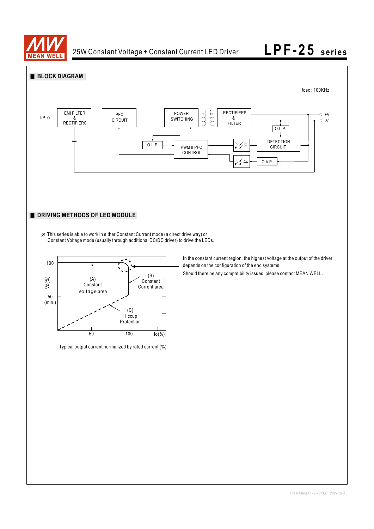





Typical output current normalized by rated current (%)

In the constant current region, the highest voltage at the output of the driver depends on the configuration of the end systems.

Should there be any compatibility issues, please contact MEAN WELL.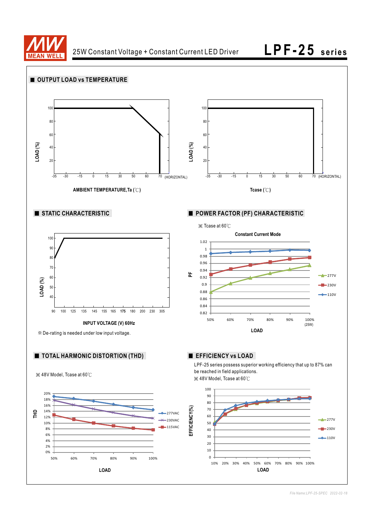

**LPF-25** series

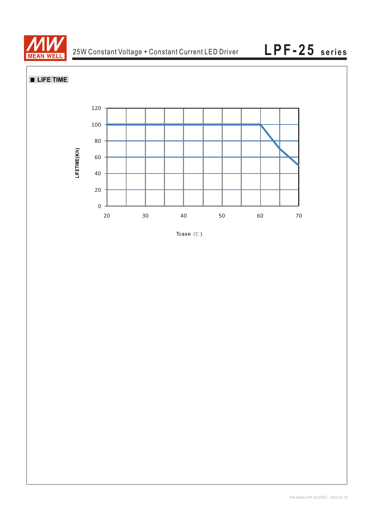

**LIFE TIME** 



Tcase  $(^\circ \mathbb{C})$